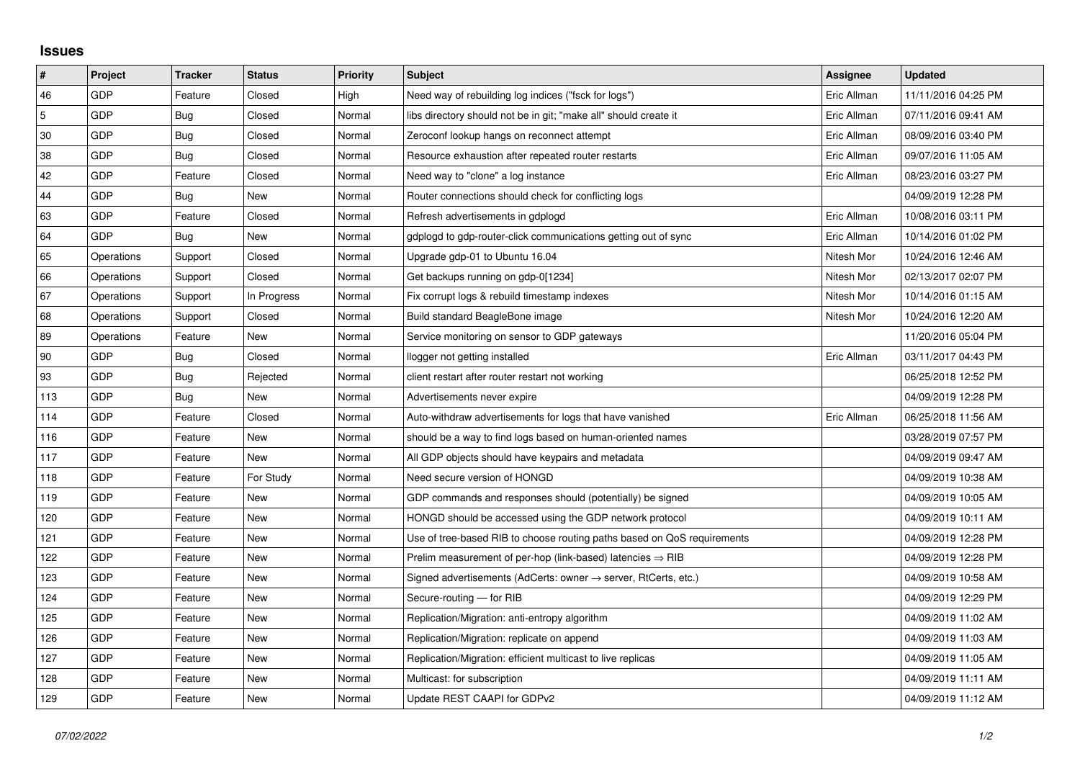## **Issues**

| $\vert$ #      | Project    | <b>Tracker</b> | <b>Status</b> | <b>Priority</b> | <b>Subject</b>                                                          | Assignee    | <b>Updated</b>      |
|----------------|------------|----------------|---------------|-----------------|-------------------------------------------------------------------------|-------------|---------------------|
| 46             | GDP        | Feature        | Closed        | High            | Need way of rebuilding log indices ("fsck for logs")                    | Eric Allman | 11/11/2016 04:25 PM |
| $\overline{5}$ | GDP        | Bug            | Closed        | Normal          | libs directory should not be in git; "make all" should create it        | Eric Allman | 07/11/2016 09:41 AM |
| 30             | <b>GDP</b> | Bug            | Closed        | Normal          | Zeroconf lookup hangs on reconnect attempt                              | Eric Allman | 08/09/2016 03:40 PM |
| 38             | GDP        | Bug            | Closed        | Normal          | Resource exhaustion after repeated router restarts                      | Eric Allman | 09/07/2016 11:05 AM |
| 42             | GDP        | Feature        | Closed        | Normal          | Need way to "clone" a log instance                                      | Eric Allman | 08/23/2016 03:27 PM |
| 44             | GDP        | Bug            | New           | Normal          | Router connections should check for conflicting logs                    |             | 04/09/2019 12:28 PM |
| 63             | GDP        | Feature        | Closed        | Normal          | Refresh advertisements in gdplogd                                       | Eric Allman | 10/08/2016 03:11 PM |
| 64             | GDP        | <b>Bug</b>     | New           | Normal          | gdplogd to gdp-router-click communications getting out of sync          | Eric Allman | 10/14/2016 01:02 PM |
| 65             | Operations | Support        | Closed        | Normal          | Upgrade gdp-01 to Ubuntu 16.04                                          | Nitesh Mor  | 10/24/2016 12:46 AM |
| 66             | Operations | Support        | Closed        | Normal          | Get backups running on gdp-0[1234]                                      | Nitesh Mor  | 02/13/2017 02:07 PM |
| 67             | Operations | Support        | In Progress   | Normal          | Fix corrupt logs & rebuild timestamp indexes                            | Nitesh Mor  | 10/14/2016 01:15 AM |
| 68             | Operations | Support        | Closed        | Normal          | Build standard BeagleBone image                                         | Nitesh Mor  | 10/24/2016 12:20 AM |
| 89             | Operations | Feature        | New           | Normal          | Service monitoring on sensor to GDP gateways                            |             | 11/20/2016 05:04 PM |
| 90             | GDP        | Bug            | Closed        | Normal          | llogger not getting installed                                           | Eric Allman | 03/11/2017 04:43 PM |
| 93             | GDP        | Bug            | Rejected      | Normal          | client restart after router restart not working                         |             | 06/25/2018 12:52 PM |
| 113            | GDP        | Bug            | New           | Normal          | Advertisements never expire                                             |             | 04/09/2019 12:28 PM |
| 114            | GDP        | Feature        | Closed        | Normal          | Auto-withdraw advertisements for logs that have vanished                | Eric Allman | 06/25/2018 11:56 AM |
| 116            | GDP        | Feature        | <b>New</b>    | Normal          | should be a way to find logs based on human-oriented names              |             | 03/28/2019 07:57 PM |
| 117            | GDP        | Feature        | New           | Normal          | All GDP objects should have keypairs and metadata                       |             | 04/09/2019 09:47 AM |
| 118            | GDP        | Feature        | For Study     | Normal          | Need secure version of HONGD                                            |             | 04/09/2019 10:38 AM |
| 119            | GDP        | Feature        | New           | Normal          | GDP commands and responses should (potentially) be signed               |             | 04/09/2019 10:05 AM |
| 120            | GDP        | Feature        | New           | Normal          | HONGD should be accessed using the GDP network protocol                 |             | 04/09/2019 10:11 AM |
| 121            | GDP        | Feature        | New           | Normal          | Use of tree-based RIB to choose routing paths based on QoS requirements |             | 04/09/2019 12:28 PM |
| 122            | GDP        | Feature        | New           | Normal          | Prelim measurement of per-hop (link-based) latencies $\Rightarrow$ RIB  |             | 04/09/2019 12:28 PM |
| 123            | GDP        | Feature        | New           | Normal          | Signed advertisements (AdCerts: owner → server, RtCerts, etc.)          |             | 04/09/2019 10:58 AM |
| 124            | GDP        | Feature        | New           | Normal          | Secure-routing - for RIB                                                |             | 04/09/2019 12:29 PM |
| 125            | GDP        | Feature        | New           | Normal          | Replication/Migration: anti-entropy algorithm                           |             | 04/09/2019 11:02 AM |
| 126            | GDP        | Feature        | New           | Normal          | Replication/Migration: replicate on append                              |             | 04/09/2019 11:03 AM |
| 127            | GDP        | Feature        | New           | Normal          | Replication/Migration: efficient multicast to live replicas             |             | 04/09/2019 11:05 AM |
| 128            | GDP        | Feature        | New           | Normal          | Multicast: for subscription                                             |             | 04/09/2019 11:11 AM |
| 129            | GDP        | Feature        | New           | Normal          | Update REST CAAPI for GDPv2                                             |             | 04/09/2019 11:12 AM |